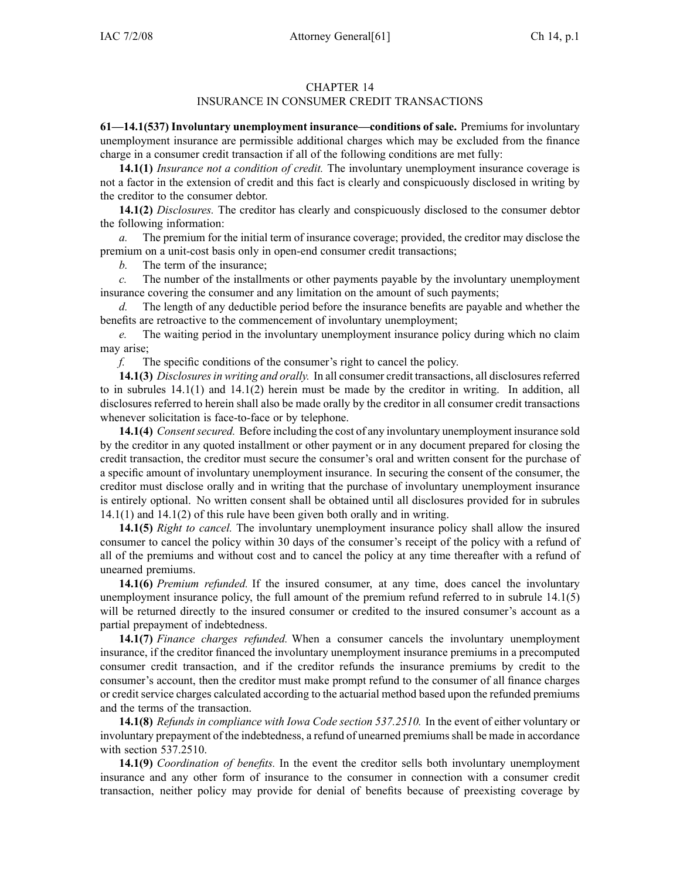## CHAPTER 14

## INSURANCE IN CONSUMER CREDIT TRANSACTIONS

**61—14.1(537) Involuntary unemployment insurance—conditions of sale.** Premiums for involuntary unemployment insurance are permissible additional charges which may be excluded from the finance charge in <sup>a</sup> consumer credit transaction if all of the following conditions are met fully:

**14.1(1)** *Insurance not <sup>a</sup> condition of credit.* The involuntary unemployment insurance coverage is not <sup>a</sup> factor in the extension of credit and this fact is clearly and conspicuously disclosed in writing by the creditor to the consumer debtor.

**14.1(2)** *Disclosures.* The creditor has clearly and conspicuously disclosed to the consumer debtor the following information:

*a.* The premium for the initial term of insurance coverage; provided, the creditor may disclose the premium on <sup>a</sup> unit-cost basis only in open-end consumer credit transactions;

*b.* The term of the insurance;

*c.* The number of the installments or other payments payable by the involuntary unemployment insurance covering the consumer and any limitation on the amount of such payments;

*d.* The length of any deductible period before the insurance benefits are payable and whether the benefits are retroactive to the commencement of involuntary unemployment;

*e.* The waiting period in the involuntary unemployment insurance policy during which no claim may arise;

*f.* The specific conditions of the consumer's right to cancel the policy.

**14.1(3)** *Disclosuresin writing and orally.* In all consumer credit transactions, all disclosuresreferred to in subrules  $14.1(1)$  and  $14.1(2)$  herein must be made by the creditor in writing. In addition, all disclosures referred to herein shall also be made orally by the creditor in all consumer credit transactions whenever solicitation is face-to-face or by telephone.

**14.1(4)** *Consentsecured.* Before including the cost of any involuntary unemployment insurance sold by the creditor in any quoted installment or other paymen<sup>t</sup> or in any document prepared for closing the credit transaction, the creditor must secure the consumer's oral and written consent for the purchase of <sup>a</sup> specific amount of involuntary unemployment insurance. In securing the consent of the consumer, the creditor must disclose orally and in writing that the purchase of involuntary unemployment insurance is entirely optional. No written consent shall be obtained until all disclosures provided for in subrules 14.1(1) and 14.1(2) of this rule have been given both orally and in writing.

**14.1(5)** *Right to cancel.* The involuntary unemployment insurance policy shall allow the insured consumer to cancel the policy within 30 days of the consumer's receipt of the policy with <sup>a</sup> refund of all of the premiums and without cost and to cancel the policy at any time thereafter with <sup>a</sup> refund of unearned premiums.

**14.1(6)** *Premium refunded.* If the insured consumer, at any time, does cancel the involuntary unemployment insurance policy, the full amount of the premium refund referred to in subrule 14.1(5) will be returned directly to the insured consumer or credited to the insured consumer's account as <sup>a</sup> partial prepaymen<sup>t</sup> of indebtedness.

**14.1(7)** *Finance charges refunded.* When <sup>a</sup> consumer cancels the involuntary unemployment insurance, if the creditor financed the involuntary unemployment insurance premiums in <sup>a</sup> precomputed consumer credit transaction, and if the creditor refunds the insurance premiums by credit to the consumer's account, then the creditor must make promp<sup>t</sup> refund to the consumer of all finance charges or credit service charges calculated according to the actuarial method based upon the refunded premiums and the terms of the transaction.

**14.1(8)** *Refunds in compliance with Iowa Code section 537.2510.* In the event of either voluntary or involuntary prepaymen<sup>t</sup> of the indebtedness, <sup>a</sup> refund of unearned premiumsshall be made in accordance with section 537.2510.

**14.1(9)** *Coordination of benefits.* In the event the creditor sells both involuntary unemployment insurance and any other form of insurance to the consumer in connection with <sup>a</sup> consumer credit transaction, neither policy may provide for denial of benefits because of preexisting coverage by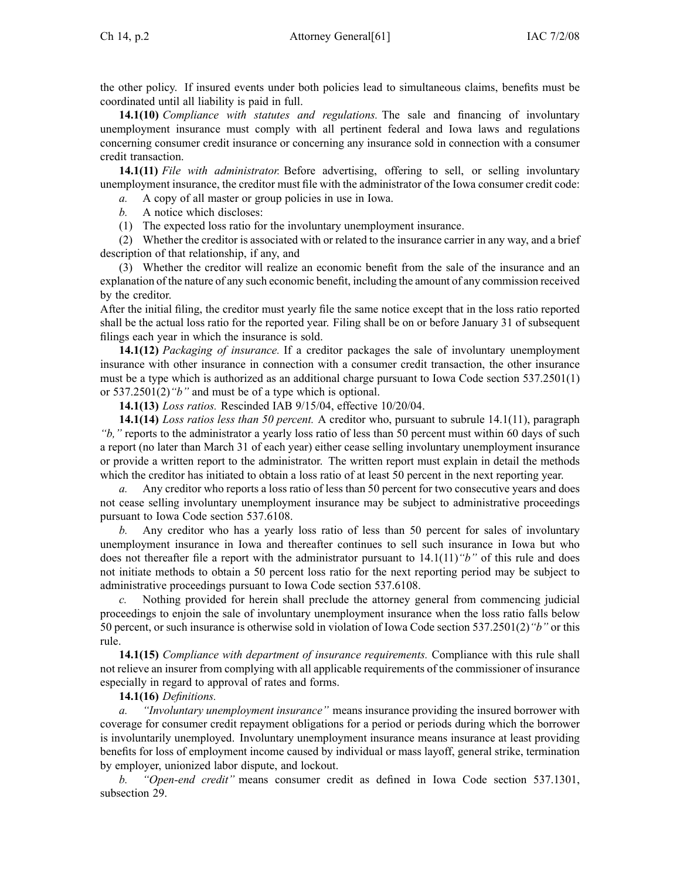the other policy. If insured events under both policies lead to simultaneous claims, benefits must be coordinated until all liability is paid in full.

**14.1(10)** *Compliance with statutes and regulations.* The sale and financing of involuntary unemployment insurance must comply with all pertinent federal and Iowa laws and regulations concerning consumer credit insurance or concerning any insurance sold in connection with <sup>a</sup> consumer credit transaction.

**14.1(11)** *File with administrator.* Before advertising, offering to sell, or selling involuntary unemployment insurance, the creditor must file with the administrator of the Iowa consumer credit code:

*a.* A copy of all master or group policies in use in Iowa.

- *b.* A notice which discloses:
- (1) The expected loss ratio for the involuntary unemployment insurance.

(2) Whether the creditor is associated with or related to the insurance carrier in any way, and <sup>a</sup> brief description of that relationship, if any, and

(3) Whether the creditor will realize an economic benefit from the sale of the insurance and an explanation of the nature of any such economic benefit, including the amount of any commission received by the creditor.

After the initial filing, the creditor must yearly file the same notice excep<sup>t</sup> that in the loss ratio reported shall be the actual loss ratio for the reported year. Filing shall be on or before January 31 of subsequent filings each year in which the insurance is sold.

**14.1(12)** *Packaging of insurance.* If <sup>a</sup> creditor packages the sale of involuntary unemployment insurance with other insurance in connection with <sup>a</sup> consumer credit transaction, the other insurance must be <sup>a</sup> type which is authorized as an additional charge pursuan<sup>t</sup> to Iowa Code section 537.2501(1) or 537.2501(2)*"b"* and must be of <sup>a</sup> type which is optional.

**14.1(13)** *Loss ratios.* Rescinded IAB 9/15/04, effective 10/20/04.

**14.1(14)** *Loss ratios less than 50 percent.* A creditor who, pursuan<sup>t</sup> to subrule 14.1(11), paragraph *"b,"* reports to the administrator <sup>a</sup> yearly loss ratio of less than 50 percen<sup>t</sup> must within 60 days of such <sup>a</sup> repor<sup>t</sup> (no later than March 31 of each year) either cease selling involuntary unemployment insurance or provide <sup>a</sup> written repor<sup>t</sup> to the administrator. The written repor<sup>t</sup> must explain in detail the methods which the creditor has initiated to obtain a loss ratio of at least 50 percent in the next reporting year.

*a.* Any creditor who reports a loss ratio of less than 50 percent for two consecutive years and does not cease selling involuntary unemployment insurance may be subject to administrative proceedings pursuan<sup>t</sup> to Iowa Code section 537.6108.

*b.* Any creditor who has <sup>a</sup> yearly loss ratio of less than 50 percen<sup>t</sup> for sales of involuntary unemployment insurance in Iowa and thereafter continues to sell such insurance in Iowa but who does not thereafter file a report with the administrator pursuant to  $14.1(11)$  "*b*" of this rule and does not initiate methods to obtain <sup>a</sup> 50 percen<sup>t</sup> loss ratio for the next reporting period may be subject to administrative proceedings pursuan<sup>t</sup> to Iowa Code section 537.6108.

*c.* Nothing provided for herein shall preclude the attorney general from commencing judicial proceedings to enjoin the sale of involuntary unemployment insurance when the loss ratio falls below 50 percent, or such insurance is otherwise sold in violation of Iowa Code section 537.2501(2)*"b"* or this rule.

**14.1(15)** *Compliance with department of insurance requirements.* Compliance with this rule shall not relieve an insurer from complying with all applicable requirements of the commissioner of insurance especially in regard to approval of rates and forms.

## **14.1(16)** *Definitions.*

*a. "Involuntary unemployment insurance"* means insurance providing the insured borrower with coverage for consumer credit repaymen<sup>t</sup> obligations for <sup>a</sup> period or periods during which the borrower is involuntarily unemployed. Involuntary unemployment insurance means insurance at least providing benefits for loss of employment income caused by individual or mass layoff, general strike, termination by employer, unionized labor dispute, and lockout.

*b. "Open-end credit"* means consumer credit as defined in Iowa Code section 537.1301, subsection 29.